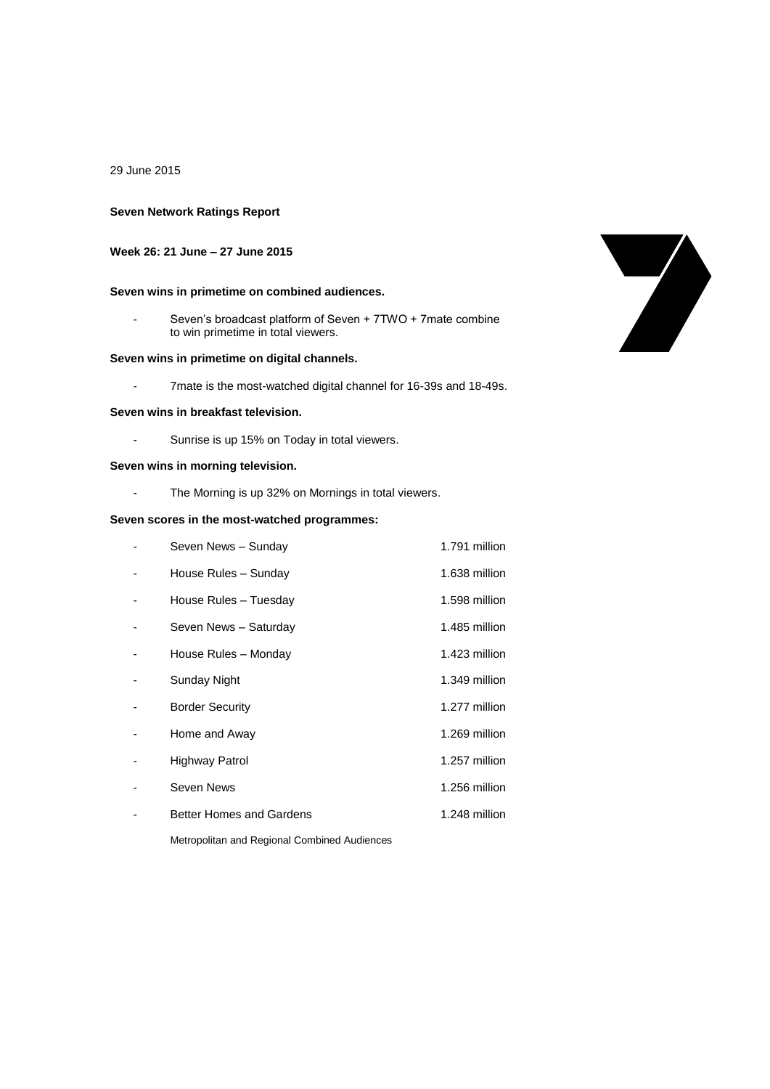29 June 2015

# **Seven Network Ratings Report**

# **Week 26: 21 June – 27 June 2015**

# **Seven wins in primetime on combined audiences.**

- Seven's broadcast platform of Seven + 7TWO + 7mate combine to win primetime in total viewers.

#### **Seven wins in primetime on digital channels.**

- 7mate is the most-watched digital channel for 16-39s and 18-49s.

#### **Seven wins in breakfast television.**

- Sunrise is up 15% on Today in total viewers.

### **Seven wins in morning television.**

- The Morning is up 32% on Mornings in total viewers.

### **Seven scores in the most-watched programmes:**

| Seven News - Sunday             | 1.791 million |
|---------------------------------|---------------|
| House Rules - Sunday            | 1.638 million |
| House Rules - Tuesday           | 1.598 million |
| Seven News - Saturday           | 1.485 million |
| House Rules - Monday            | 1.423 million |
| Sunday Night                    | 1.349 million |
| <b>Border Security</b>          | 1.277 million |
| Home and Away                   | 1.269 million |
| Highway Patrol                  | 1.257 million |
| Seven News                      | 1.256 million |
| <b>Better Homes and Gardens</b> | 1.248 million |
|                                 |               |

Metropolitan and Regional Combined Audiences

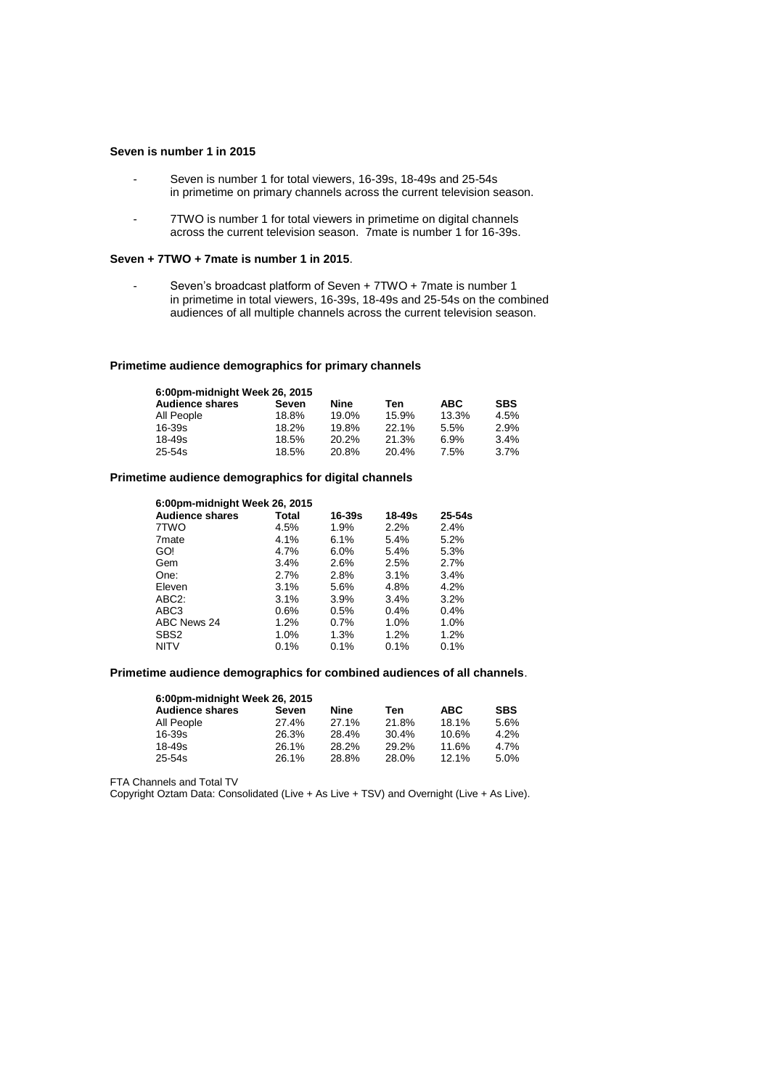#### **Seven is number 1 in 2015**

- Seven is number 1 for total viewers, 16-39s, 18-49s and 25-54s in primetime on primary channels across the current television season.
- 7TWO is number 1 for total viewers in primetime on digital channels across the current television season. 7mate is number 1 for 16-39s.

#### **Seven + 7TWO + 7mate is number 1 in 2015**.

- Seven's broadcast platform of Seven + 7TWO + 7mate is number 1 in primetime in total viewers, 16-39s, 18-49s and 25-54s on the combined audiences of all multiple channels across the current television season.

#### **Primetime audience demographics for primary channels**

| 6:00pm-midnight Week 26, 2015 |       |       |       |            |            |
|-------------------------------|-------|-------|-------|------------|------------|
| <b>Audience shares</b>        | Seven | Nine  | Ten   | <b>ABC</b> | <b>SBS</b> |
| All People                    | 18.8% | 19.0% | 15.9% | 13.3%      | 4.5%       |
| $16 - 39s$                    | 18.2% | 19.8% | 22.1% | 5.5%       | 2.9%       |
| $18 - 49s$                    | 18.5% | 20.2% | 21.3% | 6.9%       | 3.4%       |
| $25 - 54s$                    | 18.5% | 20.8% | 20.4% | 7.5%       | 3.7%       |

### **Primetime audience demographics for digital channels**

| 6:00pm-midnight Week 26, 2015 |         |            |        |            |
|-------------------------------|---------|------------|--------|------------|
| <b>Audience shares</b>        | Total   | $16 - 39s$ | 18-49s | $25 - 54s$ |
| 7TWO                          | 4.5%    | 1.9%       | 2.2%   | 2.4%       |
| 7 <sub>mate</sub>             | $4.1\%$ | 6.1%       | 5.4%   | 5.2%       |
| GO!                           | 4.7%    | 6.0%       | 5.4%   | 5.3%       |
| Gem                           | 3.4%    | 2.6%       | 2.5%   | 2.7%       |
| One:                          | 2.7%    | 2.8%       | 3.1%   | 3.4%       |
| Eleven                        | 3.1%    | 5.6%       | 4.8%   | 4.2%       |
| ABC <sub>2</sub> :            | 3.1%    | 3.9%       | 3.4%   | 3.2%       |
| ABC3                          | 0.6%    | 0.5%       | 0.4%   | 0.4%       |
| ABC News 24                   | 1.2%    | 0.7%       | 1.0%   | 1.0%       |
| SBS <sub>2</sub>              | 1.0%    | 1.3%       | 1.2%   | 1.2%       |
| <b>NITV</b>                   | 0.1%    | 0.1%       | 0.1%   | 0.1%       |

#### **Primetime audience demographics for combined audiences of all channels**.

| 6:00pm-midnight Week 26, 2015 |       |       |            |            |
|-------------------------------|-------|-------|------------|------------|
| Seven                         | Nine  | Ten   | <b>ABC</b> | <b>SBS</b> |
| 27.4%                         | 27.1% | 21.8% | 18.1%      | 5.6%       |
| 26.3%                         | 28.4% | 30.4% | 10.6%      | 4.2%       |
| 26.1%                         | 28.2% | 29.2% | 11.6%      | 4.7%       |
| 26.1%                         | 28.8% | 28.0% | 12.1%      | 5.0%       |
|                               |       |       |            |            |

FTA Channels and Total TV

Copyright Oztam Data: Consolidated (Live + As Live + TSV) and Overnight (Live + As Live).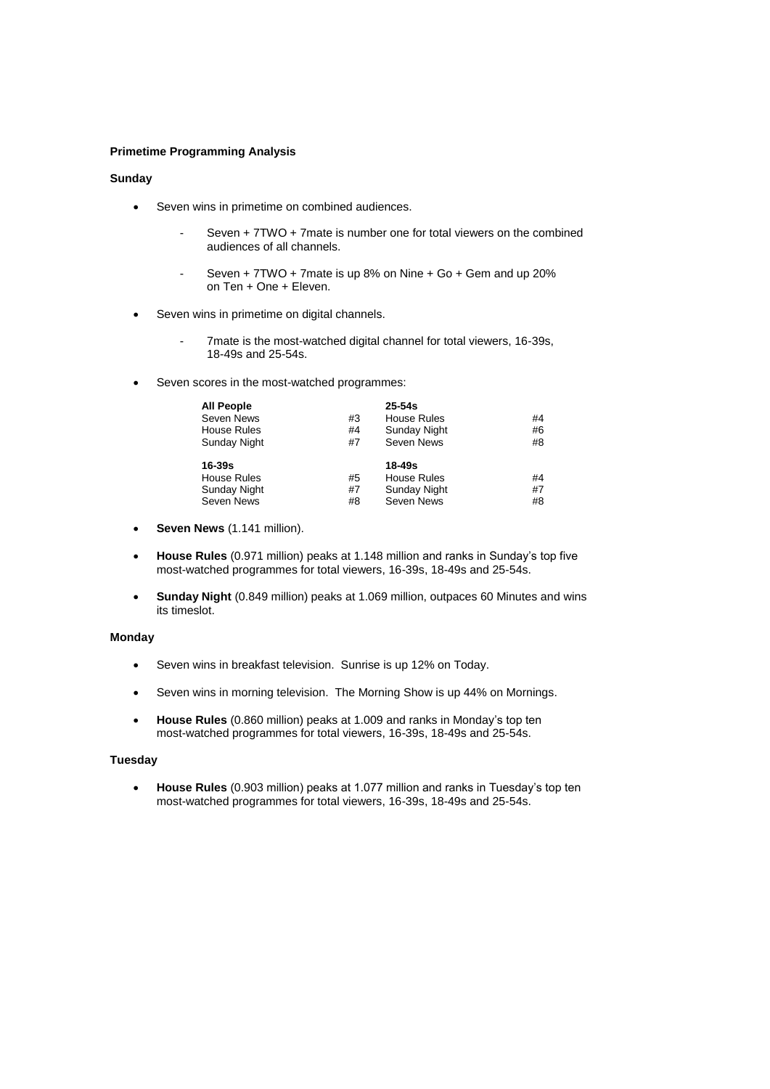### **Primetime Programming Analysis**

## **Sunday**

- Seven wins in primetime on combined audiences.
	- Seven + 7TWO + 7mate is number one for total viewers on the combined audiences of all channels.
	- Seven + 7TWO + 7mate is up 8% on Nine + Go + Gem and up 20% on Ten + One + Eleven.
- Seven wins in primetime on digital channels.
	- 7mate is the most-watched digital channel for total viewers, 16-39s, 18-49s and 25-54s.
- Seven scores in the most-watched programmes:

| <b>All People</b>  |    | $25 - 54s$         |    |
|--------------------|----|--------------------|----|
| Seven News         | #3 | House Rules        | #4 |
| <b>House Rules</b> | #4 | Sunday Night       | #6 |
| Sunday Night       | #7 | Seven News         | #8 |
| 16-39s             |    | 18-49s             |    |
| <b>House Rules</b> |    |                    |    |
|                    | #5 | <b>House Rules</b> | #4 |
| Sunday Night       | #7 | Sunday Night       | #7 |

- **Seven News** (1.141 million).
- **House Rules** (0.971 million) peaks at 1.148 million and ranks in Sunday's top five most-watched programmes for total viewers, 16-39s, 18-49s and 25-54s.
- **Sunday Night** (0.849 million) peaks at 1.069 million, outpaces 60 Minutes and wins its timeslot.

#### **Monday**

- Seven wins in breakfast television. Sunrise is up 12% on Today.
- Seven wins in morning television. The Morning Show is up 44% on Mornings.
- **House Rules** (0.860 million) peaks at 1.009 and ranks in Monday's top ten most-watched programmes for total viewers, 16-39s, 18-49s and 25-54s.

## **Tuesday**

 **House Rules** (0.903 million) peaks at 1.077 million and ranks in Tuesday's top ten most-watched programmes for total viewers, 16-39s, 18-49s and 25-54s.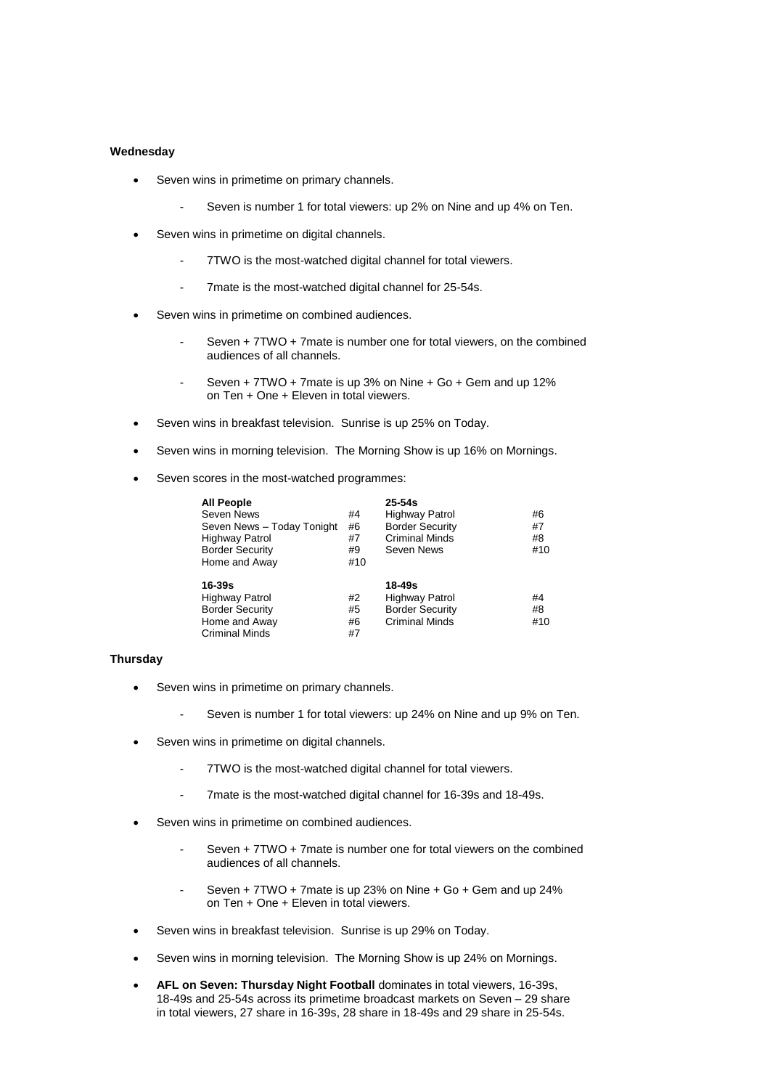### **Wednesday**

- Seven wins in primetime on primary channels.
	- Seven is number 1 for total viewers: up 2% on Nine and up 4% on Ten.
- Seven wins in primetime on digital channels.
	- 7TWO is the most-watched digital channel for total viewers.
	- 7mate is the most-watched digital channel for 25-54s.
- Seven wins in primetime on combined audiences.
	- Seven + 7TWO + 7mate is number one for total viewers, on the combined audiences of all channels.
	- Seven + 7TWO + 7mate is up 3% on Nine + Go + Gem and up 12% on Ten + One + Eleven in total viewers.
- Seven wins in breakfast television. Sunrise is up 25% on Today.
- Seven wins in morning television. The Morning Show is up 16% on Mornings.
- Seven scores in the most-watched programmes:

| <b>All People</b>          |     | $25 - 54s$             |     |
|----------------------------|-----|------------------------|-----|
| Seven News                 | #4  | Highway Patrol         | #6  |
| Seven News - Today Tonight | #6  | <b>Border Security</b> | #7  |
| <b>Highway Patrol</b>      | #7  | <b>Criminal Minds</b>  | #8  |
| <b>Border Security</b>     | #9  | Seven News             | #10 |
| Home and Away              | #10 |                        |     |
| 16-39s                     |     | 18-49s                 |     |
| <b>Highway Patrol</b>      | #2  | <b>Highway Patrol</b>  | #4  |
| <b>Border Security</b>     | #5  | <b>Border Security</b> | #8  |
| Home and Away              | #6  | <b>Criminal Minds</b>  | #10 |
| <b>Criminal Minds</b>      | #7  |                        |     |

### **Thursday**

- Seven wins in primetime on primary channels.
	- Seven is number 1 for total viewers: up 24% on Nine and up 9% on Ten.
- Seven wins in primetime on digital channels.
	- 7TWO is the most-watched digital channel for total viewers.
	- 7mate is the most-watched digital channel for 16-39s and 18-49s.
- Seven wins in primetime on combined audiences.
	- Seven + 7TWO + 7mate is number one for total viewers on the combined audiences of all channels.
	- Seven +  $7TWO + 7$  mate is up 23% on Nine +  $Go + Gem$  and up 24% on Ten + One + Eleven in total viewers.
- Seven wins in breakfast television. Sunrise is up 29% on Today.
- Seven wins in morning television. The Morning Show is up 24% on Mornings.
- **AFL on Seven: Thursday Night Football** dominates in total viewers, 16-39s, 18-49s and 25-54s across its primetime broadcast markets on Seven – 29 share in total viewers, 27 share in 16-39s, 28 share in 18-49s and 29 share in 25-54s.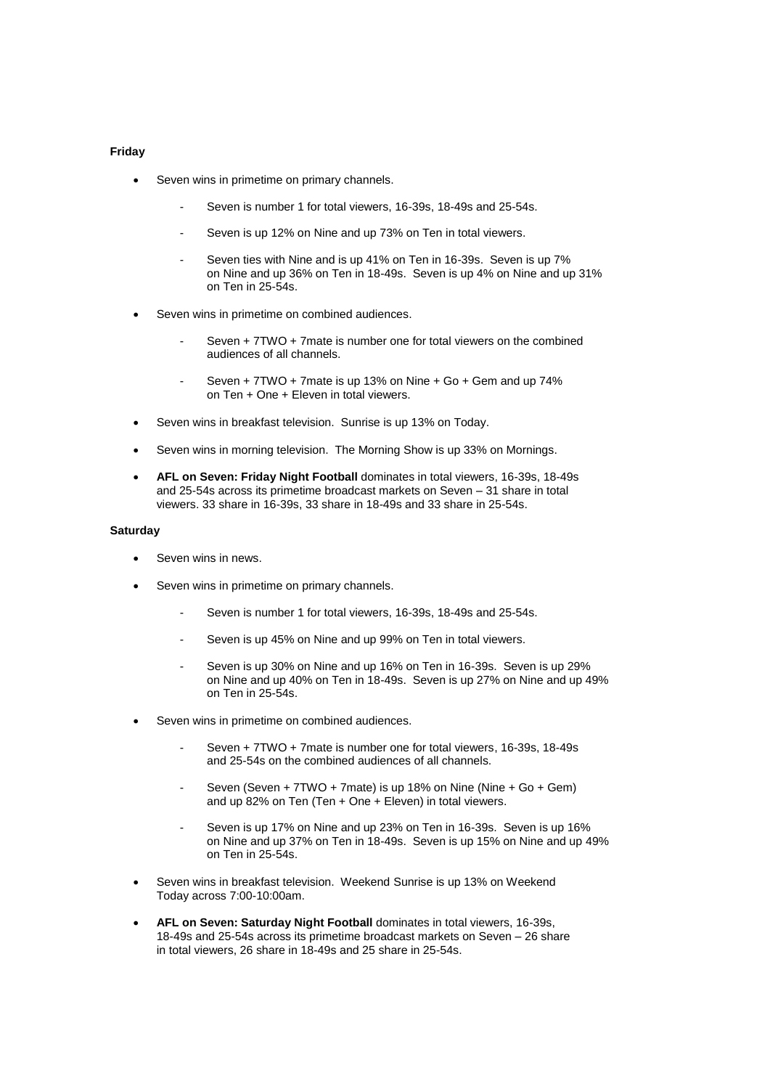#### **Friday**

- Seven wins in primetime on primary channels.
	- Seven is number 1 for total viewers, 16-39s, 18-49s and 25-54s.
	- Seven is up 12% on Nine and up 73% on Ten in total viewers.
	- Seven ties with Nine and is up 41% on Ten in 16-39s. Seven is up 7% on Nine and up 36% on Ten in 18-49s. Seven is up 4% on Nine and up 31% on Ten in 25-54s.
- Seven wins in primetime on combined audiences.
	- Seven + 7TWO + 7mate is number one for total viewers on the combined audiences of all channels.
	- Seven  $+ 7TWO + 7$ mate is up 13% on Nine  $+$  Go  $+$  Gem and up 74% on Ten + One + Eleven in total viewers.
- Seven wins in breakfast television. Sunrise is up 13% on Today.
- Seven wins in morning television. The Morning Show is up 33% on Mornings.
- **AFL on Seven: Friday Night Football** dominates in total viewers, 16-39s, 18-49s and 25-54s across its primetime broadcast markets on Seven – 31 share in total viewers. 33 share in 16-39s, 33 share in 18-49s and 33 share in 25-54s.

### **Saturday**

- Seven wins in news.
- Seven wins in primetime on primary channels.
	- Seven is number 1 for total viewers, 16-39s, 18-49s and 25-54s.
	- Seven is up 45% on Nine and up 99% on Ten in total viewers.
	- Seven is up 30% on Nine and up 16% on Ten in 16-39s. Seven is up 29% on Nine and up 40% on Ten in 18-49s. Seven is up 27% on Nine and up 49% on Ten in 25-54s.
- Seven wins in primetime on combined audiences.
	- Seven + 7TWO + 7mate is number one for total viewers, 16-39s, 18-49s and 25-54s on the combined audiences of all channels.
	- Seven (Seven + 7TWO + 7mate) is up 18% on Nine (Nine + Go + Gem) and up 82% on Ten (Ten + One + Eleven) in total viewers.
	- Seven is up 17% on Nine and up 23% on Ten in 16-39s. Seven is up 16% on Nine and up 37% on Ten in 18-49s. Seven is up 15% on Nine and up 49% on Ten in 25-54s.
- Seven wins in breakfast television. Weekend Sunrise is up 13% on Weekend Today across 7:00-10:00am.
- **AFL on Seven: Saturday Night Football** dominates in total viewers, 16-39s, 18-49s and 25-54s across its primetime broadcast markets on Seven – 26 share in total viewers, 26 share in 18-49s and 25 share in 25-54s.